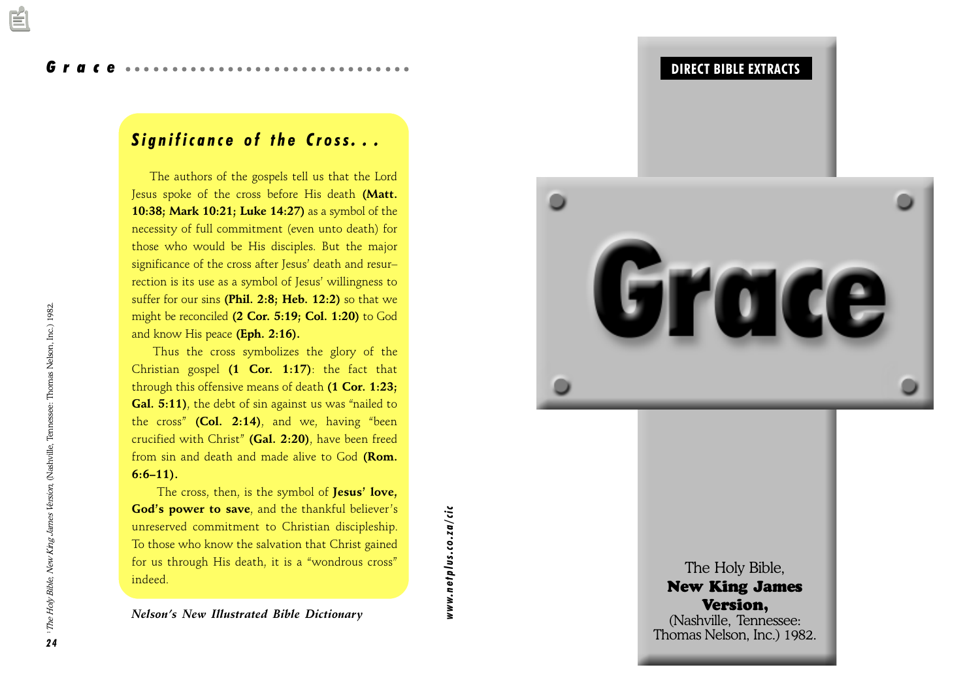# Grace

# Significance of the Cross...

 The authors of the gospels tell us that the Lord Jesus spoke of the cross before His death (Matt. 10:38; Mark 10:21; Luke 14:27) as a symbol of the necessity of full commitment (even unto death) for those who would be His disciples. But the major significance of the cross after Jesus' death and resurrection is its use as a symbol of Jesus' willingness to suffer for our sins (Phil. 2:8; Heb. 12:2) so that we might be reconciled (2 Cor. 5:19; Col. 1:20) to God and know His peace (Eph. 2:16).

Thus the cross symbolizes the glory of the Christian gospel  $(1$  Cor. 1:17): the fact that through this offensive means of death (1 Cor. 1:23; Gal. 5:11), the debt of sin against us was "nailed to the cross" (Col. 2:14), and we, having "been crucified with Christ" (Gal.  $2:20$ ), have been freed from sin and death and made alive to God (Rom.  $6:6-11$ ).

The cross, then, is the symbol of Jesus' love, God's power to save, and the thankful believer's unreserved commitment to Christian discipleship. To those who know the salvation that Christ gained for us through His death, it is a "wondrous cross" indeed.

Nelson's New Illustrated Bible Dictionary



The New 1  $\mathbf{V}$ (Nashvi Thomas N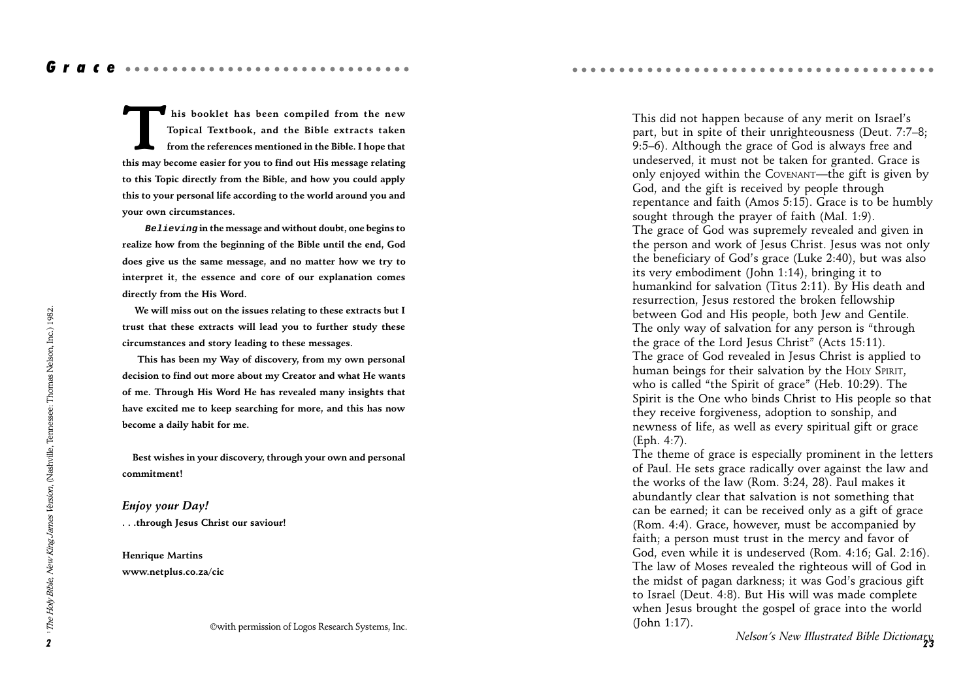Grace aaaaaaaaaaaaaaa

This booklet has been compiled from the new<br>Topical Textbook, and the Bible extracts taken<br>from the references mentioned in the Bible. I hope that<br>this may become easier for you to find out His message relating Topical Textbook, and the Bible extracts taken from the references mentioned in the Bible. I hope that this may become easier for you to find out His message relating to this Topic directly from the Bible, and how you could apply this to your personal life according to the world around you and your own circumstances.

 **Believing** in the message and without doubt, one begins to realize how from the beginning of the Bible until the end, God does give us the same message, and no matter how we try to interpret it, the essence and core of our explanation comes directly from the His Word.

 We will miss out on the issues relating to these extracts but I trust that these extracts will lead you to further study these circumstances and story leading to these messages.

 This has been my Way of discovery, from my own personal decision to find out more about my Creator and what He wants of me. Through His Word He has revealed many insights that have excited me to keep searching for more, and this has now become a daily habit for me.

 Best wishes in your discovery, through your own and personal commitment!

Enjoy your Day! . . .through Jesus Christ our saviour!

Henrique Martins www.netplus.co.za/cic

©with permission of Logos Research Systems, Inc.

This did not happen because of any merit on Israel's part, but in spite of their unrighteousness (Deut. 7:7-8; 9:5-6). Although the grace of God is always free and undeserved, it must not be taken for granted. Grace is only enjoyed within the COVENANT—the gift is given by God, and the gift is received by people through repentance and faith (Amos 5:15). Grace is to be humbly sought through the prayer of faith (Mal. 1:9). The grace of God was supremely revealed and given in the person and work of Jesus Christ. Jesus was not only the beneficiary of God's grace (Luke 2:40), but was also its very embodiment (John 1:14), bringing it to humankind for salvation (Titus 2:11). By His death and resurrection, Jesus restored the broken fellowship between God and His people, both Jew and Gentile. The only way of salvation for any person is "through the grace of the Lord Jesus Christ" (Acts  $15:11$ ). The grace of God revealed in Jesus Christ is applied to human beings for their salvation by the HOLY SPIRIT, who is called "the Spirit of grace" (Heb.  $10:29$ ). The Spirit is the One who binds Christ to His people so that they receive forgiveness, adoption to sonship, and newness of life, as well as every spiritual gift or grace (Eph. 4:7).

aaaaaaaaaaaaaaaaaaaaaaaaaaaaaaaaaa aaaaa

The theme of grace is especially prominent in the letters of Paul. He sets grace radically over against the law and the works of the law (Rom. 3:24, 28). Paul makes it abundantly clear that salvation is not something that can be earned; it can be received only as a gift of grace (Rom. 4:4). Grace, however, must be accompanied by faith; a person must trust in the mercy and favor of God, even while it is undeserved (Rom. 4:16; Gal. 2:16). The law of Moses revealed the righteous will of God in the midst of pagan darkness; it was God's gracious gift to Israel (Deut. 4:8). But His will was made complete when Jesus brought the gospel of grace into the world (John 1:17).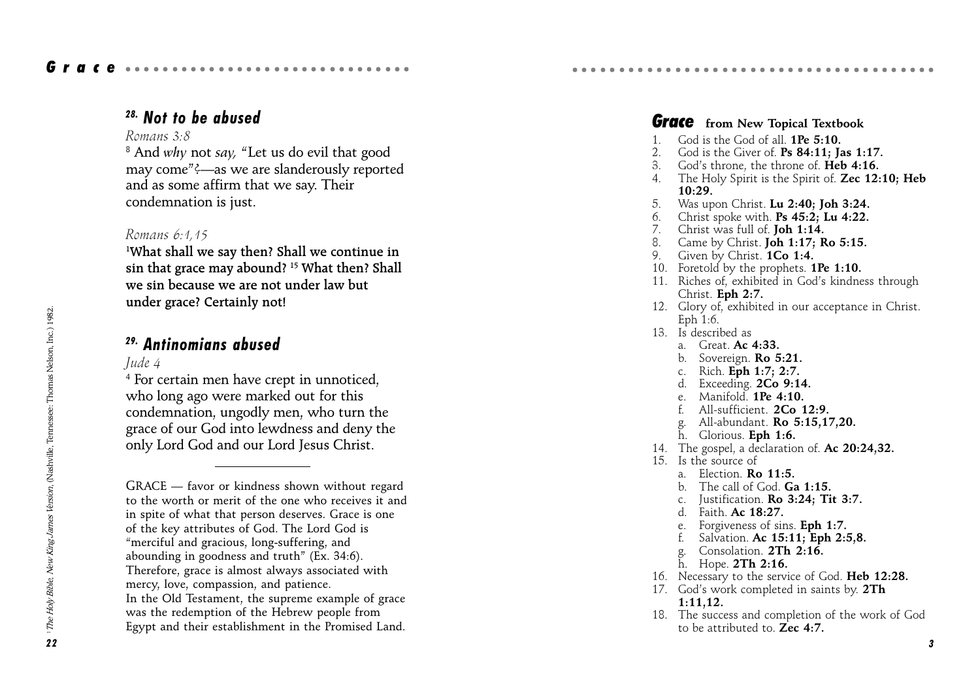# 28. Not to be abused

### Romans 3:8

 $^8$  And  $w h$ y not say, "Let us do evil that good may come"?—as we are slanderously reported and as some affirm that we say. Their condemnation is just.

### Romans 6:1,15

1 What shall we say then? Shall we continue in sin that grace may abound? 15 What then? Shall we sin because we are not under law but under grace? Certainly not!

## 29. Antinomians abused

## Jude 4

4 For certain men have crept in unnoticed, who long ago were marked out for this condemnation, ungodly men, who turn the grace of our God into lewdness and deny the only Lord God and our Lord Jesus Christ.

**12. Example, 1992.**<br> **14. 1993.**<br> **14. Antihomians abused**<br> **14. Antihomians abused**<br> **14. Antihomians abused**<br> **14. Antihomians abused**<br> **14. Antihomians abused**<br> **14. Antihomians abused on the contract one marked out f**  $GRACE$   $-$  favor or kindness shown without regard to the worth or merit of the one who receives it and in spite of what that person deserves. Grace is one of the key attributes of God. The Lord God is merciful and gracious, long-suffering, and abounding in goodness and truth" (Ex.  $34:6$ ). Therefore, grace is almost always associated with mercy, love, compassion, and patience. In the Old Testament, the supreme example of grace was the redemption of the Hebrew people from Egypt and their establishment in the Promised Land.

### **Grace** from New Topical Textbook

aaaaaaaaaaaaaaaaaaaaaaaaaaaaaaaaaa aaaaa

- 1. God is the God of all. 1Pe 5:10.
- 2. God is the Giver of. Ps 84:11: Jas 1:17.
- God's throne, the throne of. **Heb 4:16.**
- 4. The Holy Spirit is the Spirit of. **Zec 12:10: Heb** 10:29.
- 5. Was upon Christ. Lu 2:40; Joh 3:24.
- 6. Christ spoke with. Ps  $45:2$ ; Lu  $4:22$ .
- 7. Christ was full of. Joh 1:14.
- 8. Came by Christ. Joh 1:17; Ro 5:15.
- 9. Given by Christ. 1Co 1:4.
- 10. Foretold by the prophets. **1Pe 1:10.**
- 11. Riches of, exhibited in God's kindness through Christ. Eph 2:7.
- 12. Glory of, exhibited in our acceptance in Christ. Eph 1:6.
- 13. Is described as
	- a. Great.  $Ac. 4:33$ .
	- b. Sovereign. Ro 5:21.
	- c. Rich. Eph 1:7; 2:7.
	- d. Exceeding. 2Co 9:14.
	- e. Manifold. 1Pe 4:10.
	- f. All-sufficient. 2Co 12:9.
	- All-abundant. **Ro 5:15,17,20.**
	- h. Glorious. Eph 1:6.
- 14. The gospel, a declaration of. Ac 20:24,32.
- 15. Is the source of
	- a. Election. Ro 11:5.
	- b. The call of God. Ga 1:15.
	- c. Justification. Ro 3:24; Tit 3:7.
	- d. Faith. Ac 18:27.
	- e. Forgiveness of sins. Eph 1:7.
	- f. Salvation. Ac 15:11; Eph 2:5,8.
	- Consolation. 2Th 2:16.
	- h. Hope. 2Th 2:16.
- 16. Necessary to the service of God. Heb 12:28.
- 17. God's work completed in saints by. 2Th 1:11,12.
- 18. The success and completion of the work of God to be attributed to  $\mathbb{Z}$ ec 4:7.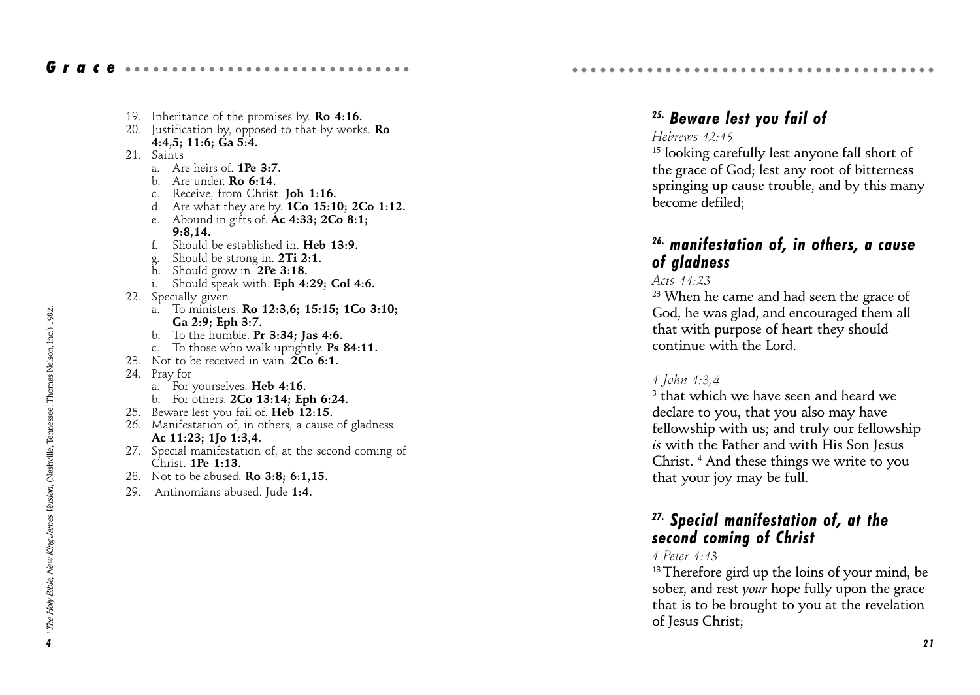|--|--|--|--|--|--|--|--|--|--|--|--|--|--|--|--|--|--|--|--|--|--|--|--|--|--|--|--|--|--|--|--|--|--|--|--|

- 19. Inheritance of the promises by. **Ro 4:16.**
- 20. Justification by, opposed to that by works.  $Ro$ 4:4,5; 11:6; Ga 5:4.
- 21 Saints
	- a. Are heirs of. 1Pe 3:7.
	- b. Are under. Ro 6:14.
	- c. Receive, from Christ. Joh 1:16.
	- d. Are what they are by. 1Co 15:10; 2Co 1:12.
	- e. Abound in gifts of.  $\overline{A}c$  4:33; 2Co 8:1; 9:8,14.
	- f. Should be established in. Heb 13:9.
	- g. Should be strong in. 2Ti 2:1.
	- h. Should grow in. 2Pe 3:18.
	- i. Should speak with. Eph 4:29; Col 4:6.
- 22. Specially given
	- a. To ministers. Ro 12:3,6; 15:15; 1Co 3:10; Ga 2:9; Eph 3:7.
	- b. To the humble. Pr 3:34; Jas 4:6.
	- c. To those who walk uprightly. Ps 84:11.
- 23. Not to be received in vain.  $2Co<sub>6:1</sub>$ .
- 24. Pray for
	- a. For yourselves. Heb 4:16.
	- b. For others. 2Co 13:14; Eph 6:24.
- 25. Beware lest you fail of. Heb 12:15.
- 26. Manifestation of, in others, a cause of gladness. Ac 11:23; 1Jo 1:3,4.
- 27. Special manifestation of, at the second coming of Christ. **1Pe 1:13.**
- 28. Not to be abused. Ro 3:8; 6:1,15.
- 29. Antinomians abused. Jude 1:4.

# 25. Beware lest you fail of

aaaaaaaaaaaaaaaaaaaaaaaaaaaaaaaaaa aaaaa

### Hebrews 12:15

15 looking carefully lest anyone fall short of the grace of God; lest any root of bitterness springing up cause trouble, and by this many become defiled;

## 26. manifestation of, in others, a cause of gladness

#### Acts 11:23

<sup>23</sup> When he came and had seen the grace of God, he was glad, and encouraged them all that with purpose of heart they should continue with the Lord.

#### 1 John 1:3,4

 $^{\rm 3}$  that which we have seen and heard we declare to you, that you also may have fellowship with us; and truly our fellowship is with the Father and with His Son Jesus Christ. 4 And these things we write to you that your joy may be full.

## 27. Special manifestation of, at the second coming of Christ

### 1 Peter 1:13

<sup>13</sup> Therefore gird up the loins of your mind, be sober, and rest your hope fully upon the grace that is to be brought to you at the revelation of Jesus Christ;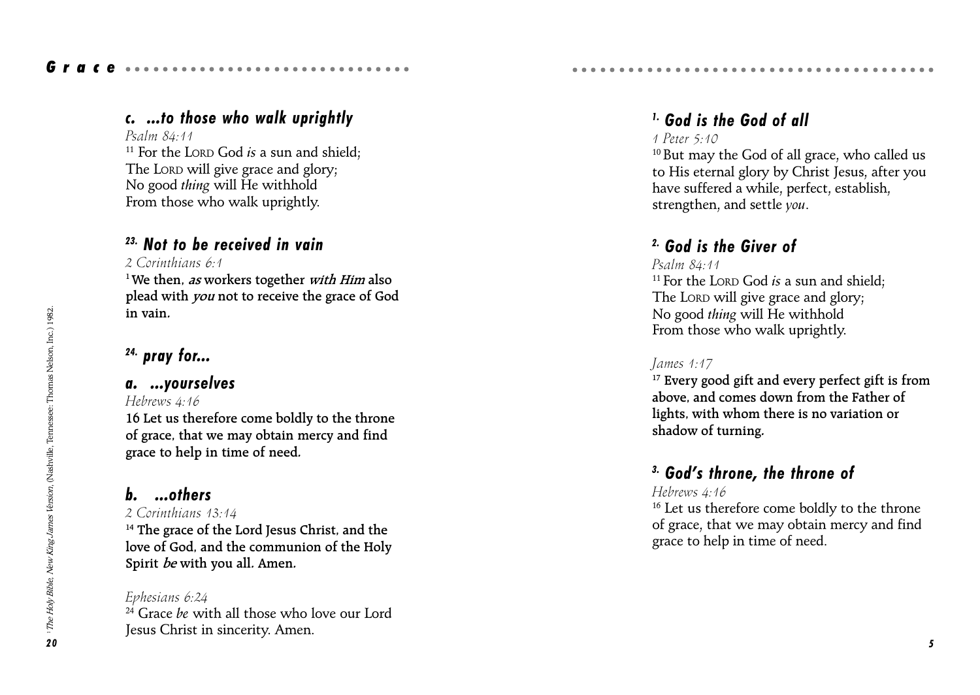# c. ...to those who walk uprightly

Grace ..............................

### Psalm 84:11

<sup>11</sup> For the LORD God *is* a sun and shield: The LORD will give grace and glory; No good thing will He withhold From those who walk uprightly.

# 23. Not to be received in vain

### 2 Corinthians 6:1

<sup>1</sup> We then, *as* workers together *with Him* also plead with you not to receive the grace of God in vain.

# $24.$  pray for...

## a. ...yourselves

Hebrews 4:16 16 Let us therefore come boldly to the throne of grace, that we may obtain mercy and find grace to help in time of need.

# b. ...others

### 2 Corinthians 13:14

<sup>14</sup> The grace of the Lord Jesus Christ, and the love of God, and the communion of the Holy Spirit be with you all. Amen.

### Ephesians 6:24  $24$  Grace be with all those who love our Lord Jesus Christ in sincerity. Amen.

# 1. God is the God of all

aaaaaaaaaaaaaaaaaaaaaaaaaaaaaaaaaa aaaaa

## 1 Peter 5:10

10 But may the God of all grace, who called us to His eternal glory by Christ Jesus, after you have suffered a while, perfect, establish, strengthen, and settle you.

# 2. God is the Giver of

### Psalm 84:11

<sup>11</sup> For the LORD God *is* a sun and shield: The LORD will give grace and glory; No good thing will He withhold From those who walk uprightly.

## James 1:17

<sup>17</sup> Every good gift and every perfect gift is from above, and comes down from the Father of lights, with whom there is no variation or shadow of turning.

# $3.$  God's throne, the throne of

### Hebrews 4:16

<sup>16</sup> Let us therefore come boldly to the throne of grace, that we may obtain mercy and find grace to help in time of need.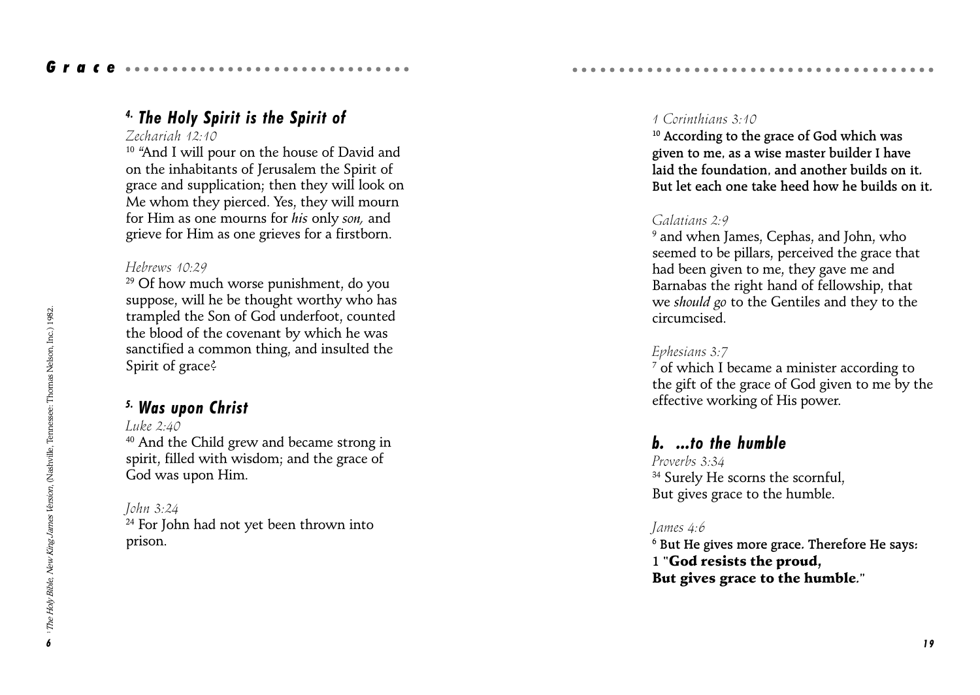## 4. The Holy Spirit is the Spirit of

#### Zechariah 12:10

<sup>10</sup> "And I will pour on the house of David and on the inhabitants of Jerusalem the Spirit of grace and supplication; then they will look on Me whom they pierced. Yes, they will mourn for Him as one mourns for his only son, and grieve for Him as one grieves for a firstborn.

#### Hebrews 10:29

<sup>29</sup> Of how much worse punishment, do you suppose, will he be thought worthy who has trampled the Son of God underfoot, counted the blood of the covenant by which he was sanctified a common thing, and insulted the Spirit of grace?

## 5. Was upon Christ

Luke  $2.40$ 40 And the Child grew and became strong in spirit, filled with wisdom; and the grace of God was upon Him.

#### John 3:24

<sup>24</sup> For John had not yet been thrown into prison.

### 1 Corinthians 3:10

<sup>10</sup> According to the grace of God which was given to me, as a wise master builder I have laid the foundation, and another builds on it. But let each one take heed how he builds on it.

aaaaaaaaaaaaaaaaaaaaaaaaaaaaaaaaaa aaaaa

### Galatians 2:9

9 and when James, Cephas, and John, who seemed to be pillars, perceived the grace that had been given to me, they gave me and Barnabas the right hand of fellowship, that we should go to the Gentiles and they to the circumcised.

### Ephesians 3:7

 $^7$  of which I became a minister according to the gift of the grace of God given to me by the effective working of His power.

## b. ...to the humble

Proverbs 3:34 <sup>34</sup> Surely He scorns the scornful, But gives grace to the humble.

### James 4:6

 $^{\rm 6}$  But He gives more grace. Therefore He says: 1 "God resists the proud, But gives grace to the humble."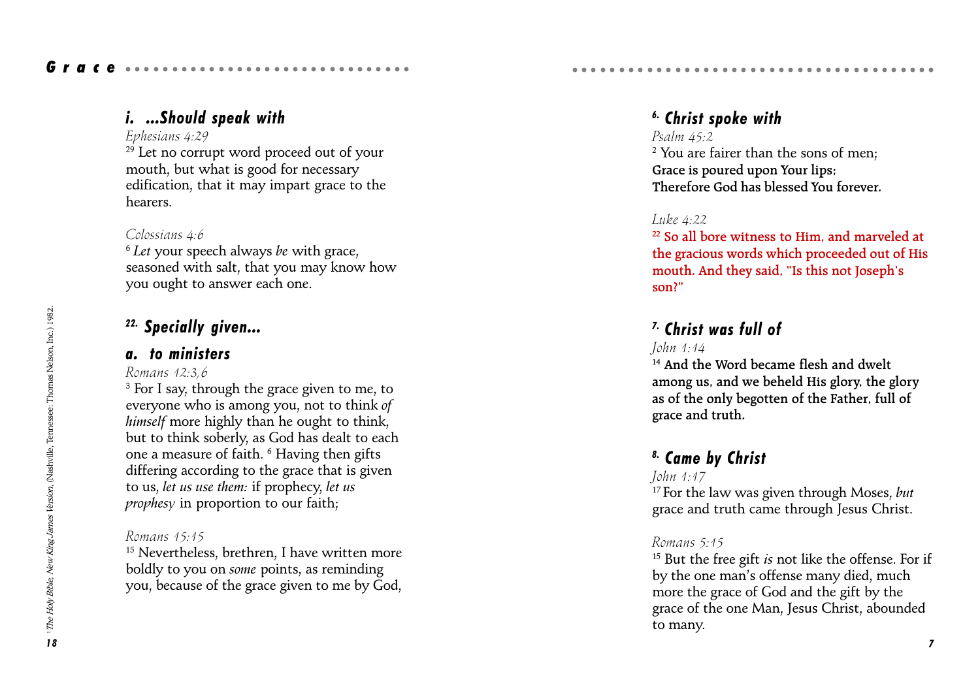# i. ...Should speak with

Grace ..............................

### Ephesians 4:29

 $29$  Let no corrupt word proceed out of your mouth, but what is good for necessary edification, that it may impart grace to the hearers.

### Colossians 4:6

 $6$  Let your speech always be with grace, seasoned with salt, that you may know how you ought to answer each one.

# <sup>22.</sup> Specially given...

## a. to ministers

## Romans 12:3,6

**Example 12. Specially given...**<br> **a.** to ministers<br>
Romans  $42.3.6$ <br> **a.** For I say, through the grace given to me, to<br> **a.** For I say, through the grace given to me, to<br>
the Horse Yous among you, not to think,  $\theta$  as  $^{\rm 3}$  For I say, through the grace given to me, to everyone who is among you, not to think of himself more highly than he ought to think, but to think soberly, as God has dealt to each one a measure of faith.  $^6$  Having then gifts differing according to the grace that is given to us, let us use them: if prophecy, let us prophesy in proportion to our faith;

## Romans 15:15

<sup>15</sup> Nevertheless, brethren, I have written more boldly to you on some points, as reminding you, because of the grace given to me by God,

# 6. Christ spoke with

### Psalm 45:2

2 You are fairer than the sons of men; Grace is poured upon Your lips; Therefore God has blessed You forever.

aaaaaaaaaaaaaaaaaaaaaaaaaaaaaaaaaa aaaaa

## Luke 4:22

22 So all bore witness to Him, and marveled at the gracious words which proceeded out of His mouth. And they said, "Is this not Joseph's son?

# 7. Christ was full of

### John 1:14

<sup>14</sup> And the Word became flesh and dwelt among us, and we beheld His glory, the glory as of the only begotten of the Father, full of grace and truth.

# 8. Came by Christ

### John 1:17

 $17$  For the law was given through Moses, but grace and truth came through Jesus Christ.

### Romans 5:15

 $15$  But the free gift is not like the offense. For if by the one man's offense many died, much more the grace of God and the gift by the grace of the one Man, Jesus Christ, abounded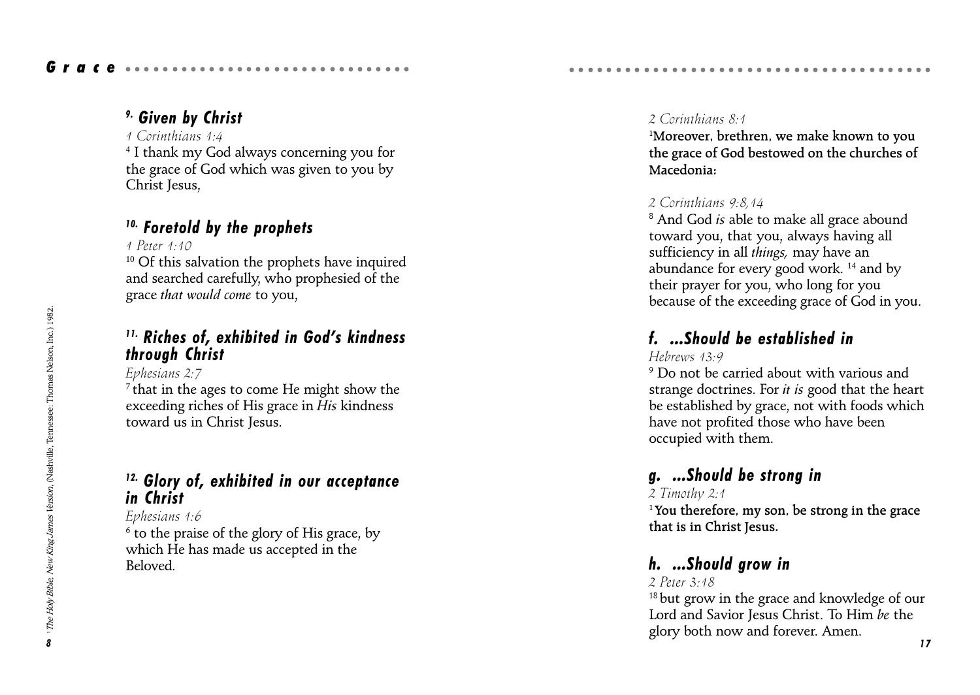## 1 Corinthians 1:4

4 I thank my God always concerning you for the grace of God which was given to you by Christ Jesus,

# 10. Foretold by the prophets

1 Peter 1:10

 $10$  Of this salvation the prophets have inquired and searched carefully, who prophesied of the grace that would come to you,

# $11.$  Riches of, exhibited in God's kindness through Christ

Ephesians 2:7

 $7$  that in the ages to come He might show the exceeding riches of His grace in His kindness toward us in Christ Jesus.

# 12. Glory of, exhibited in our acceptance in Christ

Ephesians 1:6

 $^{\rm 6}$  to the praise of the glory of His grace, by which He has made us accepted in the Beloved.

## 2 Corinthians 8:1

1 Moreover, brethren, we make known to you the grace of God bestowed on the churches of Macedonia<sup>,</sup>

aaaaaaaaaaaaaaaaaaaaaaaaaaaaaaaaaa aaaaa

# 2 Corinthians 9:8,14

 $^{\rm 8}$  And God *is* able to make all grace abound toward you, that you, always having all sufficiency in all things, may have an abundance for every good work. 14 and by their prayer for you, who long for you because of the exceeding grace of God in you.

# f. ...Should be established in

# Hebrews 13:9

 $^9$  Do not be carried about with various and strange doctrines. For *it is* good that the heart be established by grace, not with foods which have not profited those who have been occupied with them.

# g. ...Should be strong in

# 2 Timothy 2:1

<sup>1</sup> You therefore, my son, be strong in the grace that is in Christ Jesus.

# h. ...Should grow in

## 2 Peter 3:18

<sup>18</sup> but grow in the grace and knowledge of our Lord and Savior Jesus Christ. To Him be the glory both now and forever. Amen.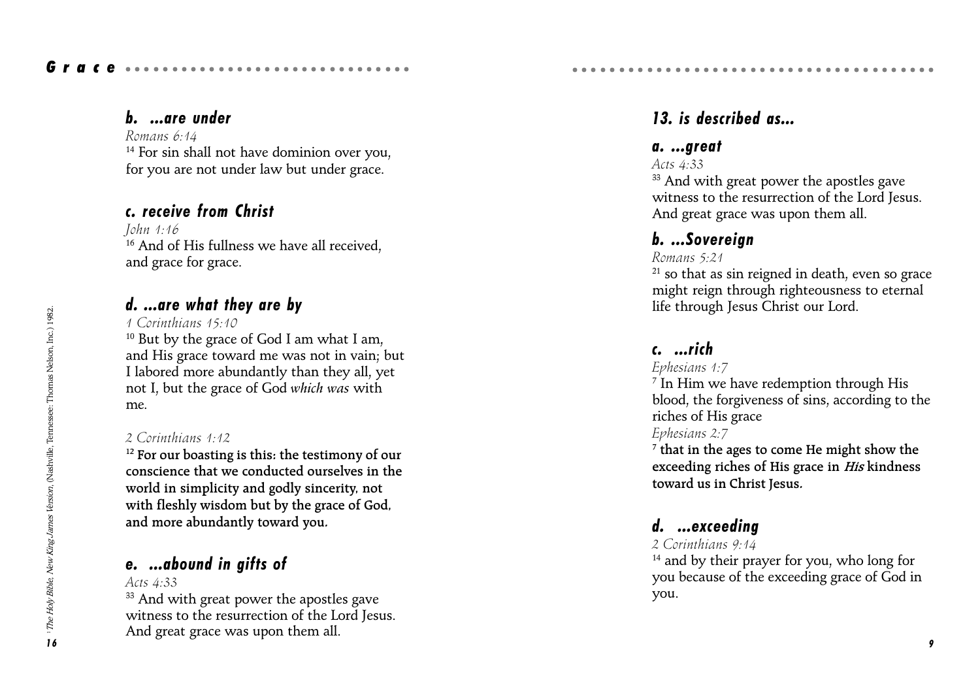## b. ...are under

Romans 6:14 <sup>14</sup> For sin shall not have dominion over you, for you are not under law but under grace.

# c. receive from Christ

John 1:16 <sup>16</sup> And of His fullness we have all received. and grace for grace.

# d. ...are what they are by

1 Corinthians 15:10

<sup>10</sup> But by the grace of God I am what I am, and His grace toward me was not in vain; but I labored more abundantly than they all, yet not I, but the grace of God which was with me.

## 2 Corinthians 1:12

 $12$  For our boasting is this: the testimony of our conscience that we conducted ourselves in the world in simplicity and godly sincerity, not with fleshly wisdom but by the grace of God, and more abundantly toward you.

# e. ...abound in gifts of

Acts 4:33

<sup>33</sup> And with great power the apostles gave witness to the resurrection of the Lord Jesus. And great grace was upon them all.

# 13. is described as...

aaaaaaaaaaaaaaaaaaaaaaaaaaaaaaaaaa aaaaa

## a. ...great

Acts 4:33

<sup>33</sup> And with great power the apostles gave witness to the resurrection of the Lord Jesus. And great grace was upon them all.

# b. ...Sovereign

## Romans 5:21

 $21$  so that as sin reigned in death, even so grace might reign through righteousness to eternal life through Jesus Christ our Lord.

# c. ...rich

### Ephesians 1:7

 $^7$  In Him we have redemption through His blood, the forgiveness of sins, according to the riches of His grace

## Ephesians 2:7

 $^7$  that in the ages to come He might show the exceeding riches of His grace in His kindness toward us in Christ Jesus.

# d. ...exceeding

### 2 Corinthians 9:14

<sup>14</sup> and by their prayer for you, who long for you because of the exceeding grace of God in you.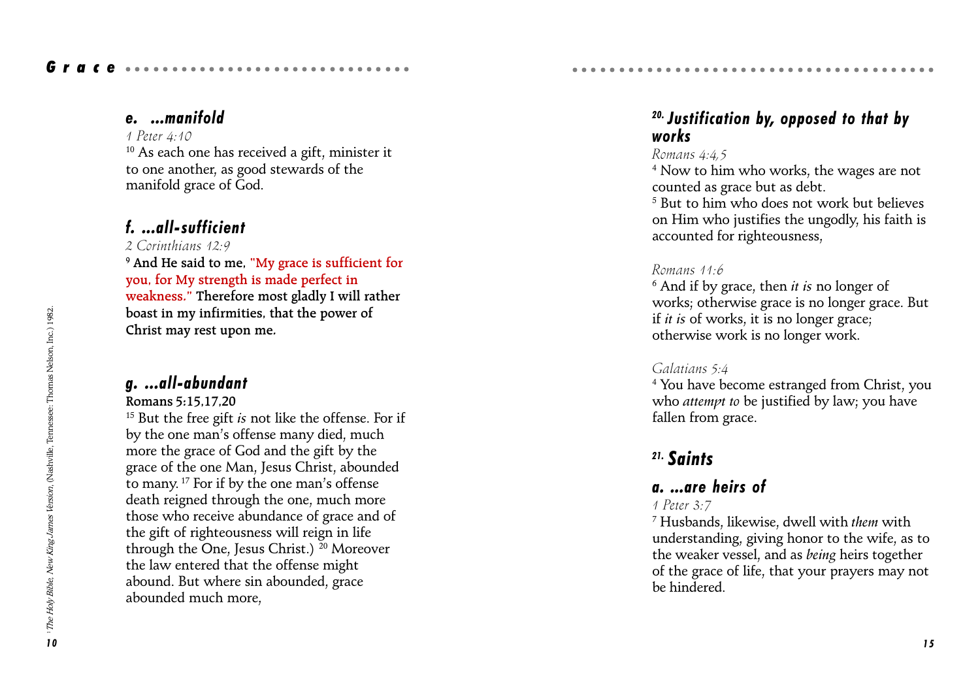## Grace ..............................

## e. ...manifold

#### 1 Peter  $4.10$

<sup>10</sup> As each one has received a gift, minister it to one another, as good stewards of the manifold grace of God.

## f. ...all-sufficient

2 Corinthians 12:9

 $^9$  And He said to me, "My grace is sufficient for you, for My strength is made perfect in weakness." Therefore most gladly I will rather boast in my infirmities, that the power of Christ may rest upon me.

### g. ...all-abundant

#### Romans 5:15,17,20

 $15$  But the free gift is not like the offense. For if by the one man's offense many died, much more the grace of God and the gift by the grace of the one Man, Jesus Christ, abounded to many.<sup>17</sup> For if by the one man's offense death reigned through the one, much more those who receive abundance of grace and of the gift of righteousness will reign in life through the One, Jesus Christ.)  $^{20}$  Moreover the law entered that the offense might abound. But where sin abounded, grace abounded much more,

## $20.$  Justification by, opposed to that by works

aaaaaaaaaaaaaaaaaaaaaaaaaaaaaaaaaa aaaaa

### Romans 4:4,5

4 Now to him who works, the wages are not counted as grace but as debt.

5 But to him who does not work but believes on Him who justifies the ungodly, his faith is accounted for righteousness,

#### Romans 11:6

 $^6$  And if by grace, then *it is* no longer of works; otherwise grace is no longer grace. But if it is of works, it is no longer grace; otherwise work is no longer work.

#### Galatians 5:4

4 You have become estranged from Christ, you who *attempt to* be justified by law; you have fallen from grace.

# 21. Saints

## a. ...are heirs of

### 1 Peter 3:7

 $^7$  Husbands, likewise, dwell with them with understanding, giving honor to the wife, as to the weaker vessel, and as being heirs together of the grace of life, that your prayers may not be hindered.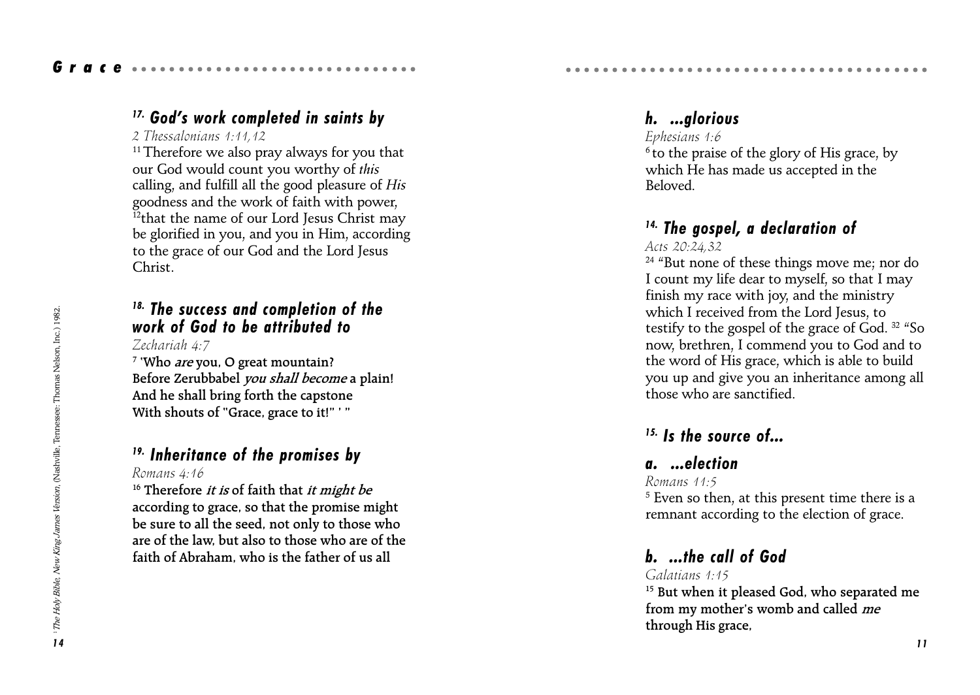# $17.$  God's work completed in saints by

### 2 Thessalonians 1:11,12

<sup>11</sup> Therefore we also pray always for you that our God would count you worthy of this calling, and fulfill all the good pleasure of His goodness and the work of faith with power, <sup>12</sup>that the name of our Lord Jesus Christ may be glorified in you, and you in Him, according to the grace of our God and the Lord Jesus Christ.

## 18. The success and completion of the work of God to be attributed to

Zechariah 4:7

<sup>7</sup> 'Who *are* you, O great mountain? Before Zerubbabel you shall become a plain! And he shall bring forth the capstone With shouts of "Grace, grace to it!" ' "

# 19. Inheritance of the promises by

### Romans 4:16

the sure of the promises through His grace, through His grace, the correct of His grace, the sure of the and the state of the promises by<br> **Exchanged Holy Bible, American** Holy and Bible, the correct proper move of the sta  $16$  Therefore *it is* of faith that *it might be* according to grace, so that the promise might be sure to all the seed, not only to those who are of the law, but also to those who are of the faith of Abraham, who is the father of us all

# h. ...glorious

## Ephesians 1:6

 $6$  to the praise of the glory of His grace, by which He has made us accepted in the Beloved.

# 14. The gospel, a declaration of

aaaaaaaaaaaaaaaaaaaaaaaaaaaaaaaaaa aaaaa

### Acts 20:24,32

<sup>24</sup> "But none of these things move me; nor do I count my life dear to myself, so that I may finish my race with joy, and the ministry which I received from the Lord Jesus, to testify to the gospel of the grace of God.  $32 \text{ }$  "So now, brethren, I commend you to God and to the word of His grace, which is able to build you up and give you an inheritance among all those who are sanctified.

# $15.$  Is the source of...

# a. ...election

### Romans 11:5

 $^{\rm 5}$  Even so then, at this present time there is a remnant according to the election of grace.

# b. ...the call of God

### Galatians 1:15

<sup>15</sup> But when it pleased God, who separated me from my mother's womb and called me